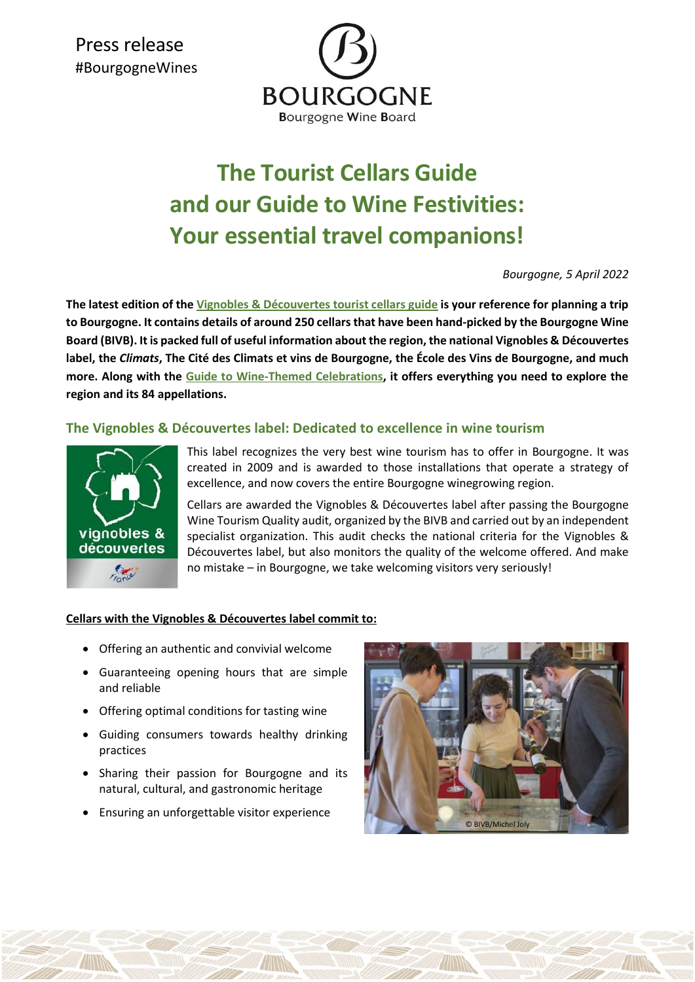Press release #BourgogneWines



# **The Tourist Cellars Guide and our Guide to Wine Festivities: Your essential travel companions!**

*Bourgogne, 5 April 2022*

**The latest edition of the [Vignobles & Découvertes](https://elearning.vins-bourgogne.fr/oenotourisme_bourgogne_guide_des_caves_labelisees.pdf) tourist cellars guide is your reference for planning a trip to Bourgogne. It contains details of around 250 cellars that have been hand-picked by the Bourgogne Wine Board (BIVB). It is packed full of useful information about the region, the national Vignobles & Découvertes label, the** *Climats***, The Cité des Climats et vins de Bourgogne, the École des Vins de Bourgogne, and much more. Along with the [Guide to Wine-Themed Celebrations,](https://www.fetes-vins-bourgogne.fr/) it offers everything you need to explore the region and its 84 appellations.**

## **The Vignobles & Découvertes label: Dedicated to excellence in wine tourism**



This label recognizes the very best wine tourism has to offer in Bourgogne. It was created in 2009 and is awarded to those installations that operate a strategy of excellence, and now covers the entire Bourgogne winegrowing region.

Cellars are awarded the Vignobles & Découvertes label after passing the Bourgogne Wine Tourism Quality audit, organized by the BIVB and carried out by an independent specialist organization. This audit checks the national criteria for the Vignobles & Découvertes label, but also monitors the quality of the welcome offered. And make no mistake – in Bourgogne, we take welcoming visitors very seriously!

#### **Cellars with the Vignobles & Découvertes label commit to:**

- Offering an authentic and convivial welcome
- Guaranteeing opening hours that are simple and reliable
- Offering optimal conditions for tasting wine
- Guiding consumers towards healthy drinking practices
- Sharing their passion for Bourgogne and its natural, cultural, and gastronomic heritage
- Ensuring an unforgettable visitor experience